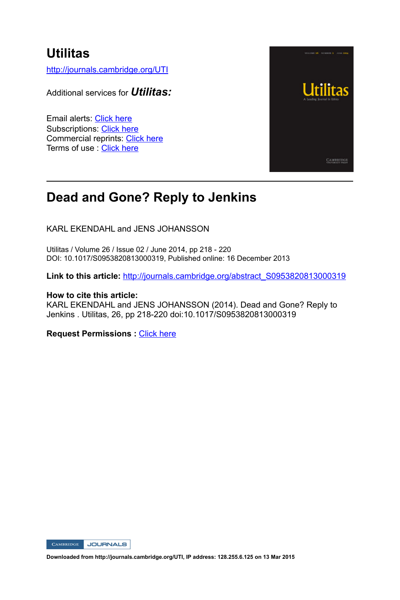## **Utilitas**

http://journals.cambridge.org/UTI

Additional services for *Utilitas:*

Email alerts: Click here Subscriptions: Click here Commercial reprints: Click here Terms of use : Click here



## **Dead and Gone? Reply to Jenkins**

KARL EKENDAHL and JENS JOHANSSON

Utilitas / Volume 26 / Issue 02 / June 2014, pp 218 - 220 DOI: 10.1017/S0953820813000319, Published online: 16 December 2013

Link to this article: http://journals.cambridge.org/abstract\_S0953820813000319

#### **How to cite this article:**

KARL EKENDAHL and JENS JOHANSSON (2014). Dead and Gone? Reply to Jenkins . Utilitas, 26, pp 218-220 doi:10.1017/S0953820813000319

**Request Permissions :** Click here

CAMBRIDGE JOURNALS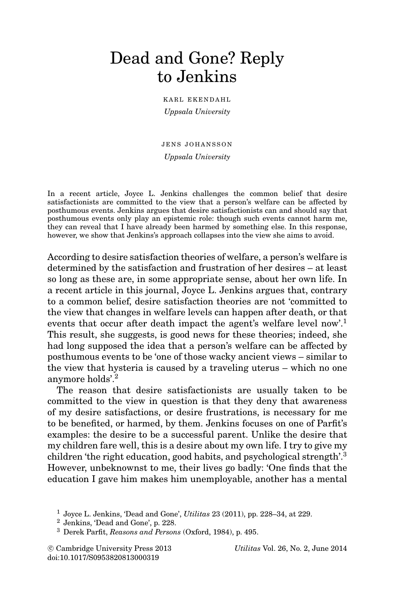# Dead and Gone? Reply to Jenkins

KARL EKENDAHL *Uppsala University*

JENS JOHANSSON *Uppsala University*

In a recent article, Joyce L. Jenkins challenges the common belief that desire satisfactionists are committed to the view that a person's welfare can be affected by posthumous events. Jenkins argues that desire satisfactionists can and should say that posthumous events only play an epistemic role: though such events cannot harm me, they can reveal that I have already been harmed by something else. In this response, however, we show that Jenkins's approach collapses into the view she aims to avoid.

According to desire satisfaction theories of welfare, a person's welfare is determined by the satisfaction and frustration of her desires – at least so long as these are, in some appropriate sense, about her own life. In a recent article in this journal, Joyce L. Jenkins argues that, contrary to a common belief, desire satisfaction theories are not 'committed to the view that changes in welfare levels can happen after death, or that events that occur after death impact the agent's welfare level now'.<sup>1</sup> This result, she suggests, is good news for these theories; indeed, she had long supposed the idea that a person's welfare can be affected by posthumous events to be 'one of those wacky ancient views – similar to the view that hysteria is caused by a traveling uterus – which no one anymore holds'.<sup>2</sup>

The reason that desire satisfactionists are usually taken to be committed to the view in question is that they deny that awareness of my desire satisfactions, or desire frustrations, is necessary for me to be benefited, or harmed, by them. Jenkins focuses on one of Parfit's examples: the desire to be a successful parent. Unlike the desire that my children fare well, this is a desire about my own life. I try to give my children 'the right education, good habits, and psychological strength'.<sup>3</sup> However, unbeknownst to me, their lives go badly: 'One finds that the education I gave him makes him unemployable, another has a mental

<sup>2</sup> Jenkins, 'Dead and Gone', p. 228.

© Cambridge University Press 2013 doi:10.1017/S0953820813000319

c Cambridge University Press 2013 *Utilitas* Vol. 26, No. 2, June 2014

<sup>1</sup> Joyce L. Jenkins, 'Dead and Gone', *Utilitas* 23 (2011), pp. 228–34, at 229.

<sup>3</sup> Derek Parfit, *Reasons and Persons* (Oxford, 1984), p. 495.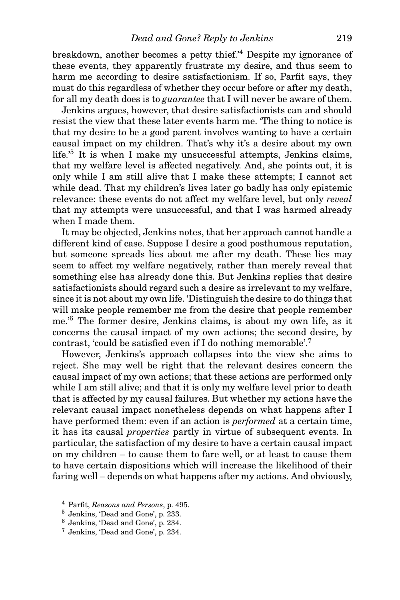breakdown, another becomes a petty thief.'4 Despite my ignorance of these events, they apparently frustrate my desire, and thus seem to harm me according to desire satisfactionism. If so, Parfit says, they must do this regardless of whether they occur before or after my death, for all my death does is to *guarantee* that I will never be aware of them.

Jenkins argues, however, that desire satisfactionists can and should resist the view that these later events harm me. 'The thing to notice is that my desire to be a good parent involves wanting to have a certain causal impact on my children. That's why it's a desire about my own life.<sup>5</sup> It is when I make my unsuccessful attempts, Jenkins claims, that my welfare level is affected negatively. And, she points out, it is only while I am still alive that I make these attempts; I cannot act while dead. That my children's lives later go badly has only epistemic relevance: these events do not affect my welfare level, but only *reveal* that my attempts were unsuccessful, and that I was harmed already when I made them.

It may be objected, Jenkins notes, that her approach cannot handle a different kind of case. Suppose I desire a good posthumous reputation, but someone spreads lies about me after my death. These lies may seem to affect my welfare negatively, rather than merely reveal that something else has already done this. But Jenkins replies that desire satisfactionists should regard such a desire as irrelevant to my welfare, since it is not about my own life. 'Distinguish the desire to do things that will make people remember me from the desire that people remember me.'<sup>6</sup> The former desire, Jenkins claims, is about my own life, as it concerns the causal impact of my own actions; the second desire, by contrast, 'could be satisfied even if I do nothing memorable'.7

However, Jenkins's approach collapses into the view she aims to reject. She may well be right that the relevant desires concern the causal impact of my own actions; that these actions are performed only while I am still alive; and that it is only my welfare level prior to death that is affected by my causal failures. But whether my actions have the relevant causal impact nonetheless depends on what happens after I have performed them: even if an action is *performed* at a certain time, it has its causal *properties* partly in virtue of subsequent events. In particular, the satisfaction of my desire to have a certain causal impact on my children – to cause them to fare well, or at least to cause them to have certain dispositions which will increase the likelihood of their faring well – depends on what happens after my actions. And obviously,

<sup>4</sup> Parfit, *Reasons and Persons*, p. 495.

<sup>5</sup> Jenkins, 'Dead and Gone', p. 233.

<sup>6</sup> Jenkins, 'Dead and Gone', p. 234.

<sup>7</sup> Jenkins, 'Dead and Gone', p. 234.